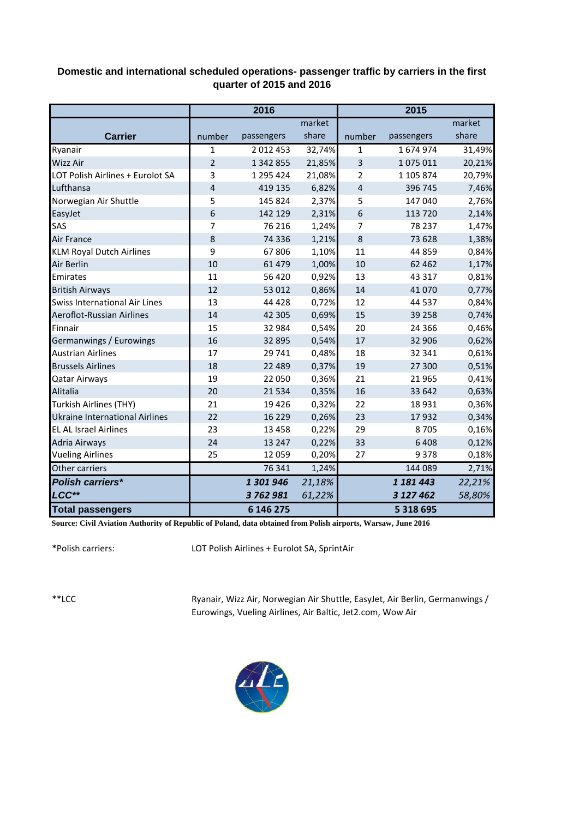## **Domestic and international scheduled operations- passenger traffic by carriers in the first quarter of 2015 and 2016**

|                                       |                | 2016          |        |                | 2015         |        |
|---------------------------------------|----------------|---------------|--------|----------------|--------------|--------|
|                                       |                |               | market |                |              | market |
| <b>Carrier</b>                        | number         | passengers    | share  | number         | passengers   | share  |
| Ryanair                               | 1              | 2 0 1 2 4 5 3 | 32,74% | 1              | 1674974      | 31,49% |
| <b>Wizz Air</b>                       | $\overline{2}$ | 1 342 855     | 21,85% | 3              | 1075011      | 20,21% |
| LOT Polish Airlines + Eurolot SA      | 3              | 1 295 424     | 21,08% | 2              | 1 105 874    | 20,79% |
| Lufthansa                             | 4              | 419 135       | 6,82%  | $\overline{4}$ | 396 745      | 7,46%  |
| Norwegian Air Shuttle                 | 5              | 145 824       | 2,37%  | 5              | 147 040      | 2,76%  |
| EasyJet                               | 6              | 142 129       | 2,31%  | 6              | 113 720      | 2,14%  |
| SAS                                   | 7              | 76 216        | 1,24%  | 7              | 78 237       | 1,47%  |
| Air France                            | 8              | 74 336        | 1,21%  | 8              | 73 628       | 1,38%  |
| <b>KLM Royal Dutch Airlines</b>       | 9              | 67806         | 1,10%  | 11             | 44 859       | 0,84%  |
| Air Berlin                            | 10             | 61 479        | 1,00%  | 10             | 62 4 62      | 1,17%  |
| Emirates                              | 11             | 56 4 20       | 0,92%  | 13             | 43 3 17      | 0,81%  |
| <b>British Airways</b>                | 12             | 53 012        | 0,86%  | 14             | 41 0 70      | 0,77%  |
| <b>Swiss International Air Lines</b>  | 13             | 44 4 28       | 0,72%  | 12             | 44 5 37      | 0,84%  |
| Aeroflot-Russian Airlines             | 14             | 42 305        | 0,69%  | 15             | 39 25 8      | 0,74%  |
| Finnair                               | 15             | 32 984        | 0,54%  | 20             | 24 3 66      | 0,46%  |
| Germanwings / Eurowings               | 16             | 32 895        | 0,54%  | 17             | 32 906       | 0,62%  |
| <b>Austrian Airlines</b>              | 17             | 29 741        | 0,48%  | 18             | 32 341       | 0,61%  |
| <b>Brussels Airlines</b>              | 18             | 22 4 8 9      | 0,37%  | 19             | 27 300       | 0,51%  |
| <b>Qatar Airways</b>                  | 19             | 22 050        | 0,36%  | 21             | 21 9 65      | 0,41%  |
| Alitalia                              | 20             | 21 5 34       | 0,35%  | 16             | 33 642       | 0,63%  |
| Turkish Airlines (THY)                | 21             | 19 4 26       | 0,32%  | 22             | 18931        | 0,36%  |
| <b>Ukraine International Airlines</b> | 22             | 16 2 2 9      | 0,26%  | 23             | 17932        | 0,34%  |
| <b>EL AL Israel Airlines</b>          | 23             | 13 4 58       | 0,22%  | 29             | 8705         | 0,16%  |
| Adria Airways                         | 24             | 13 2 4 7      | 0,22%  | 33             | 6408         | 0,12%  |
| <b>Vueling Airlines</b>               | 25             | 12 0 5 9      | 0,20%  | 27             | 9378         | 0,18%  |
| Other carriers                        |                | 76 341        | 1,24%  |                | 144 089      | 2,71%  |
| <b>Polish carriers*</b>               |                | 1 301 946     | 21,18% |                | 1 181 443    | 22,21% |
| LCC**                                 |                | 3762981       | 61,22% |                | 3 127 462    | 58,80% |
| <b>Total passengers</b>               |                | 6 146 275     |        |                | 5 3 18 6 9 5 |        |

**Source: Civil Aviation Authority of Republic of Poland, data obtained from Polish airports, Warsaw, June 2016**

\*Polish carriers:

LOT Polish Airlines + Eurolot SA, SprintAir

\*\*LCC

Ryanair, Wizz Air, Norwegian Air Shuttle, EasyJet, Air Berlin, Germanwings / Eurowings, Vueling Airlines, Air Baltic, Jet2.com, Wow Air